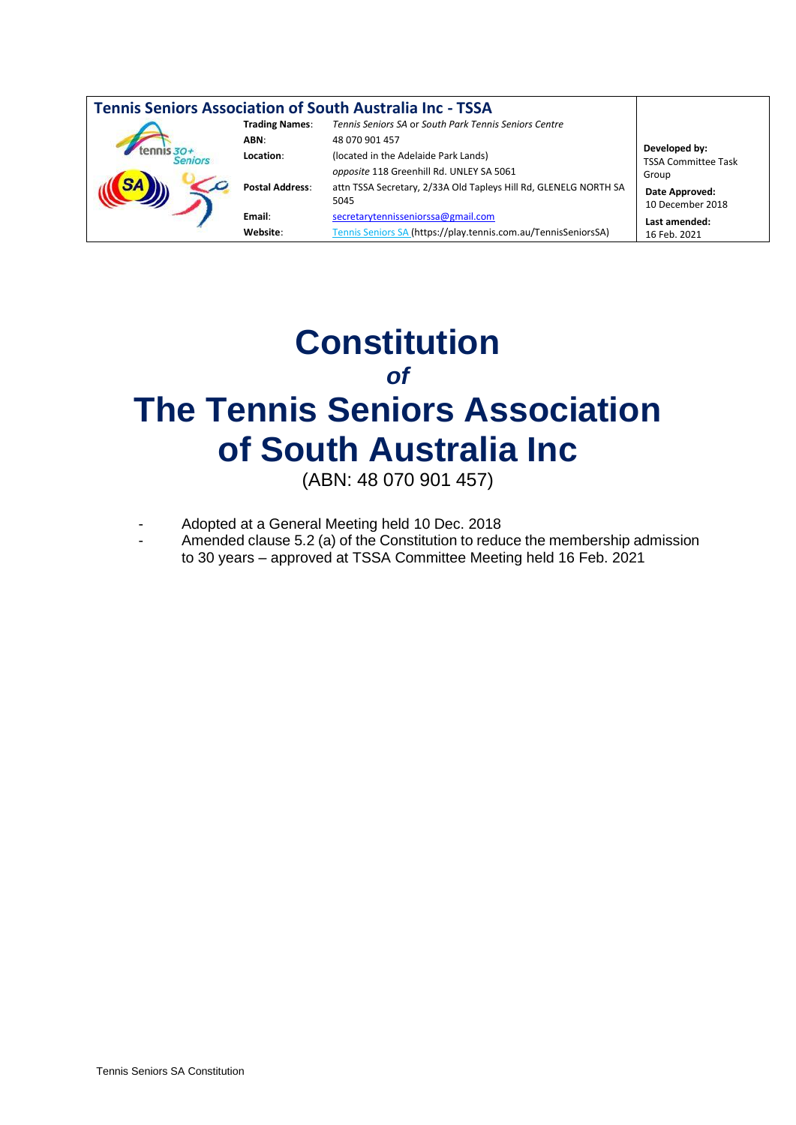| <b>Tennis Seniors Association of South Australia Inc - TSSA</b> |                        |                                                                          |                                                                                            |
|-----------------------------------------------------------------|------------------------|--------------------------------------------------------------------------|--------------------------------------------------------------------------------------------|
|                                                                 | <b>Trading Names:</b>  | Tennis Seniors SA or South Park Tennis Seniors Centre                    |                                                                                            |
|                                                                 | ABN:                   | 48 070 901 457                                                           | Developed by:<br><b>TSSA Committee Task</b><br>Group<br>Date Approved:<br>10 December 2018 |
|                                                                 | Location:              | (located in the Adelaide Park Lands)                                     |                                                                                            |
|                                                                 |                        | opposite 118 Greenhill Rd. UNLEY SA 5061                                 |                                                                                            |
|                                                                 | <b>Postal Address:</b> | attn TSSA Secretary, 2/33A Old Tapleys Hill Rd, GLENELG NORTH SA<br>5045 |                                                                                            |
|                                                                 | Email:                 | secretarytennisseniorssa@gmail.com                                       | Last amended:                                                                              |
|                                                                 | Website:               | Tennis Seniors SA (https://play.tennis.com.au/TennisSeniorsSA)           | 16 Feb. 2021                                                                               |

# **Constitution** *of* **The Tennis Seniors Association of South Australia Inc**

(ABN: 48 070 901 457)

- Adopted at a General Meeting held 10 Dec. 2018
- Amended clause 5.2 (a) of the Constitution to reduce the membership admission to 30 years – approved at TSSA Committee Meeting held 16 Feb. 2021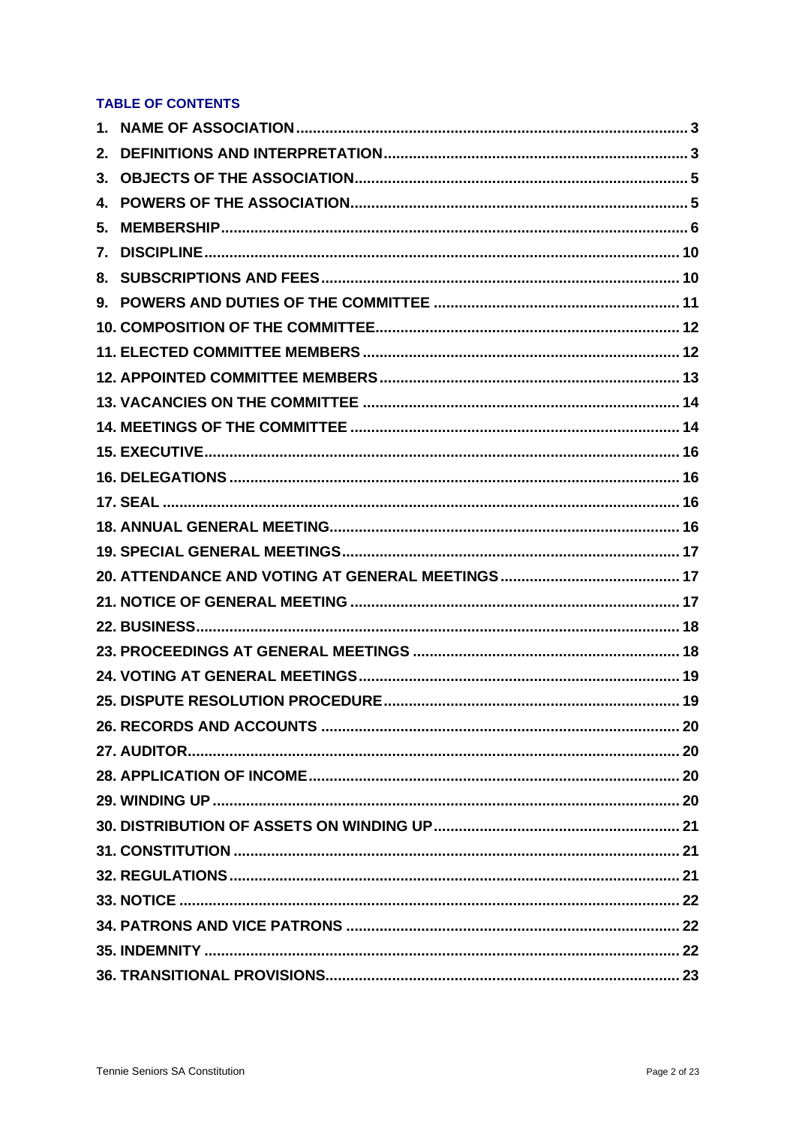## **TABLE OF CONTENTS**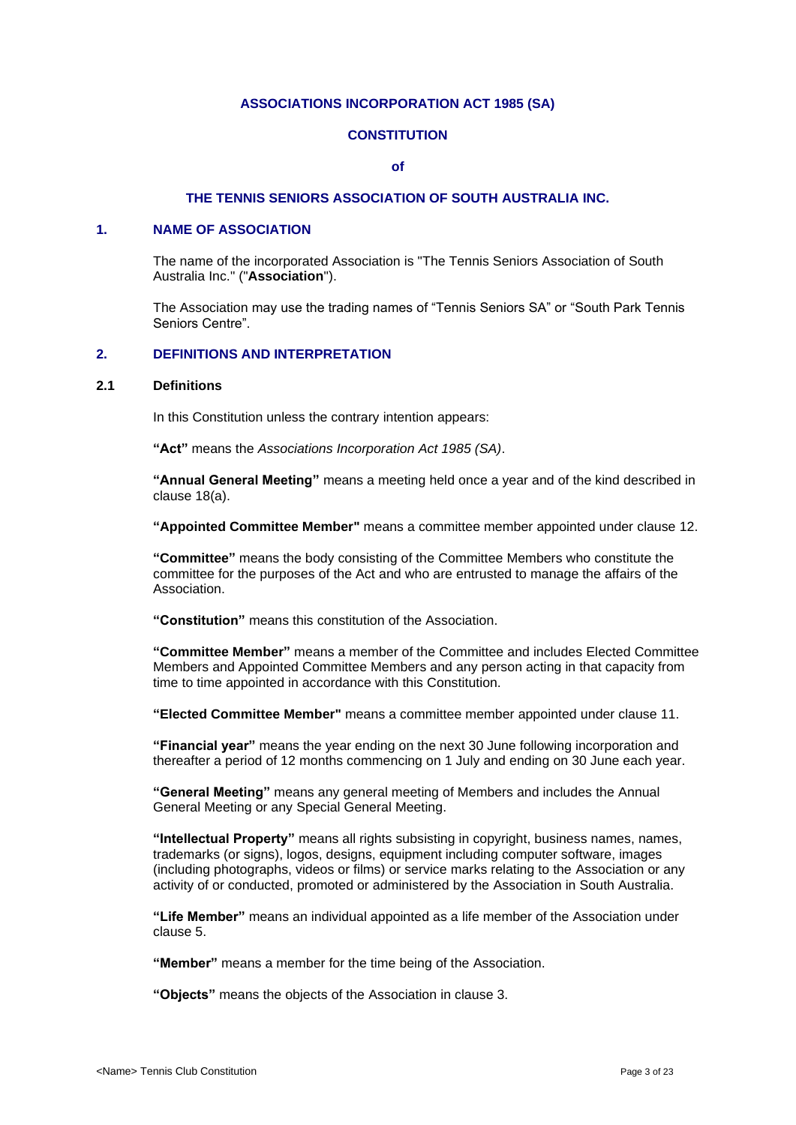#### **ASSOCIATIONS INCORPORATION ACT 1985 (SA)**

## **CONSTITUTION**

#### **of**

## **THE TENNIS SENIORS ASSOCIATION OF SOUTH AUSTRALIA INC.**

## <span id="page-2-0"></span>**1. NAME OF ASSOCIATION**

The name of the incorporated Association is "The Tennis Seniors Association of South Australia Inc." ("**Association**").

The Association may use the trading names of "Tennis Seniors SA" or "South Park Tennis Seniors Centre".

## <span id="page-2-1"></span>**2. DEFINITIONS AND INTERPRETATION**

#### **2.1 Definitions**

In this Constitution unless the contrary intention appears:

**"Act"** means the *Associations Incorporation Act 1985 (SA)*.

**"Annual General Meeting"** means a meeting held once a year and of the kind described in clause [18\(a\).](#page-15-4)

**"Appointed Committee Member"** means a committee member appointed under clause [12.](#page-12-0)

**"Committee"** means the body consisting of the Committee Members who constitute the committee for the purposes of the Act and who are entrusted to manage the affairs of the Association.

**"Constitution"** means this constitution of the Association.

**"Committee Member"** means a member of the Committee and includes Elected Committee Members and Appointed Committee Members and any person acting in that capacity from time to time appointed in accordance with this Constitution.

**"Elected Committee Member"** means a committee member appointed under clause [11.](#page-11-1)

**"Financial year"** means the year ending on the next 30 June following incorporation and thereafter a period of 12 months commencing on 1 July and ending on 30 June each year.

**"General Meeting"** means any general meeting of Members and includes the Annual General Meeting or any Special General Meeting.

**"Intellectual Property"** means all rights subsisting in copyright, business names, names, trademarks (or signs), logos, designs, equipment including computer software, images (including photographs, videos or films) or service marks relating to the Association or any activity of or conducted, promoted or administered by the Association in South Australia.

**"Life Member"** means an individual appointed as a life member of the Association under clause [5.](#page-5-0)

**"Member"** means a member for the time being of the Association.

**"Objects"** means the objects of the Association in clause 3.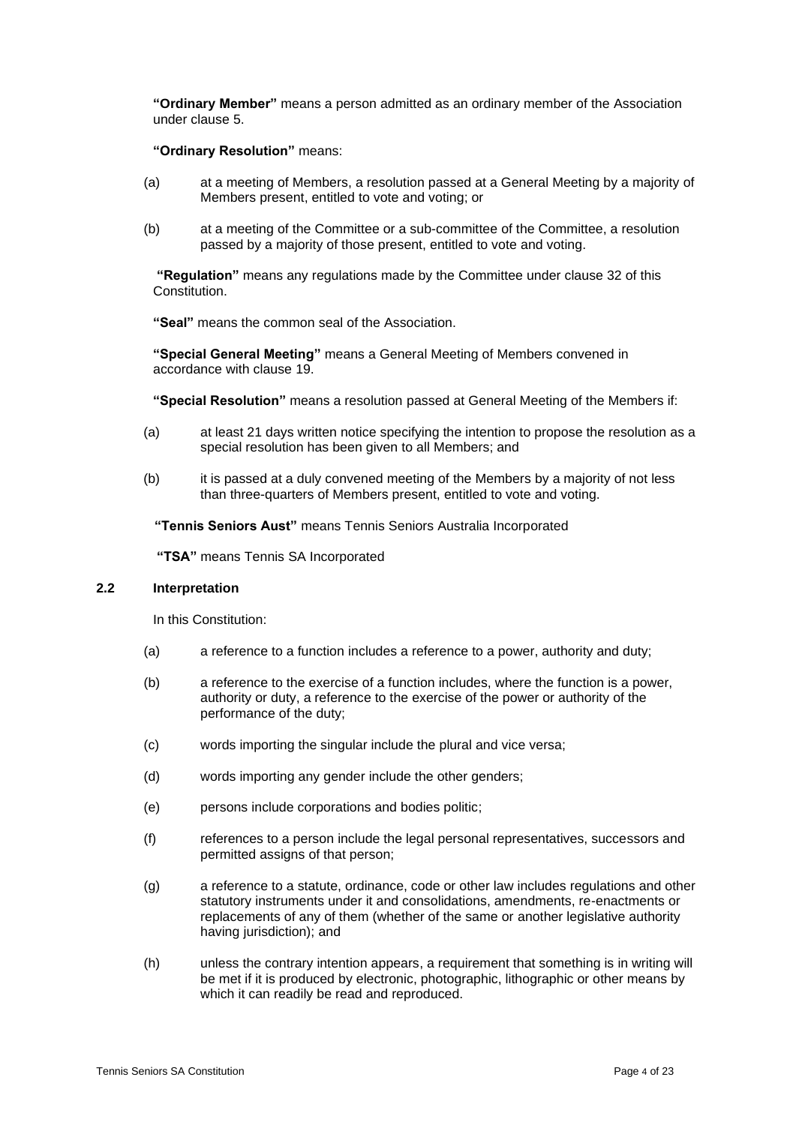**"Ordinary Member"** means a person admitted as an ordinary member of the Association under clause [5.](#page-5-0)

#### **"Ordinary Resolution"** means:

- (a) at a meeting of Members, a resolution passed at a General Meeting by a majority of Members present, entitled to vote and voting; or
- (b) at a meeting of the Committee or a sub-committee of the Committee, a resolution passed by a majority of those present, entitled to vote and voting.

**"Regulation"** means any regulations made by the Committee under clause 32 of this **Constitution** 

**"Seal"** means the common seal of the Association.

**"Special General Meeting"** means a General Meeting of Members convened in accordance with clause [19.](#page-16-0)

**"Special Resolution"** means a resolution passed at General Meeting of the Members if:

- (a) at least 21 days written notice specifying the intention to propose the resolution as a special resolution has been given to all Members; and
- (b) it is passed at a duly convened meeting of the Members by a majority of not less than three-quarters of Members present, entitled to vote and voting.

 **"Tennis Seniors Aust"** means Tennis Seniors Australia Incorporated

**"TSA"** means Tennis SA Incorporated

#### **2.2 Interpretation**

In this Constitution:

- (a) a reference to a function includes a reference to a power, authority and duty;
- (b) a reference to the exercise of a function includes, where the function is a power, authority or duty, a reference to the exercise of the power or authority of the performance of the duty;
- (c) words importing the singular include the plural and vice versa;
- (d) words importing any gender include the other genders;
- (e) persons include corporations and bodies politic;
- (f) references to a person include the legal personal representatives, successors and permitted assigns of that person;
- (g) a reference to a statute, ordinance, code or other law includes regulations and other statutory instruments under it and consolidations, amendments, re-enactments or replacements of any of them (whether of the same or another legislative authority having jurisdiction); and
- (h) unless the contrary intention appears, a requirement that something is in writing will be met if it is produced by electronic, photographic, lithographic or other means by which it can readily be read and reproduced.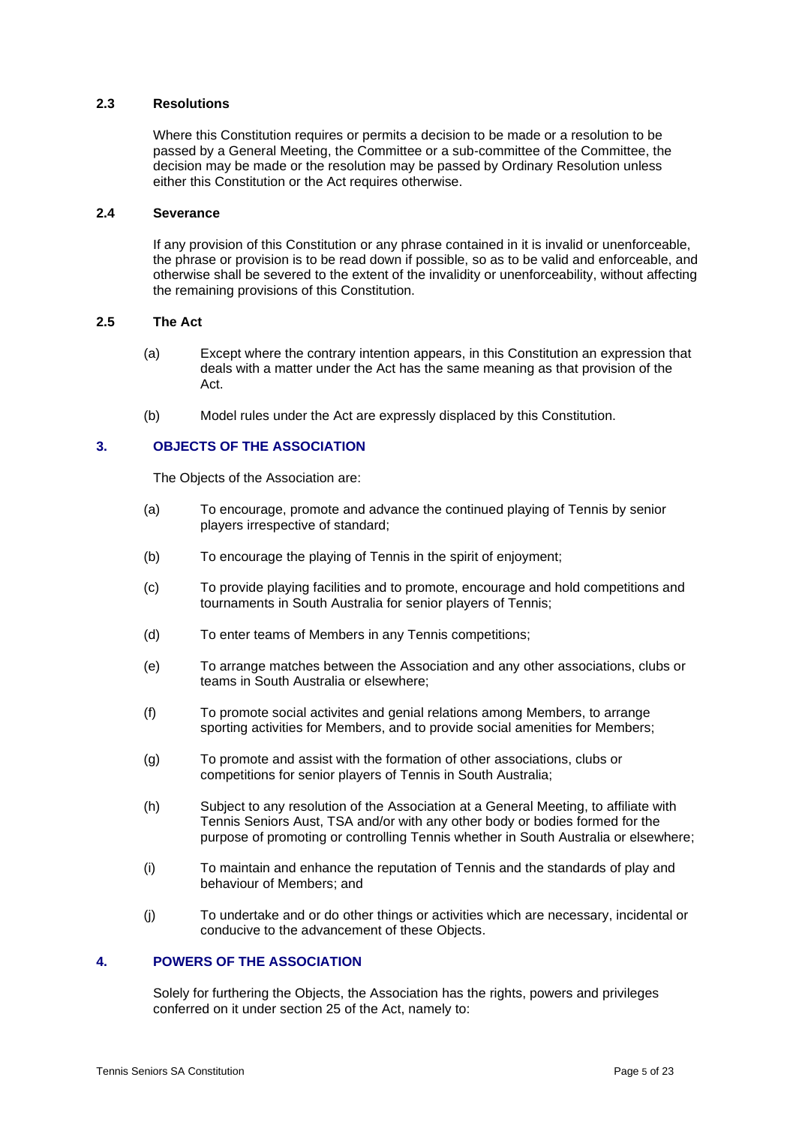## **2.3 Resolutions**

Where this Constitution requires or permits a decision to be made or a resolution to be passed by a General Meeting, the Committee or a sub-committee of the Committee, the decision may be made or the resolution may be passed by Ordinary Resolution unless either this Constitution or the Act requires otherwise.

## **2.4 Severance**

If any provision of this Constitution or any phrase contained in it is invalid or unenforceable, the phrase or provision is to be read down if possible, so as to be valid and enforceable, and otherwise shall be severed to the extent of the invalidity or unenforceability, without affecting the remaining provisions of this Constitution.

#### **2.5 The Act**

- (a) Except where the contrary intention appears, in this Constitution an expression that deals with a matter under the Act has the same meaning as that provision of the Act.
- (b) Model rules under the Act are expressly displaced by this Constitution.

## <span id="page-4-0"></span>**3. OBJECTS OF THE ASSOCIATION**

The Objects of the Association are:

- (a) To encourage, promote and advance the continued playing of Tennis by senior players irrespective of standard;
- (b) To encourage the playing of Tennis in the spirit of enjoyment;
- (c) To provide playing facilities and to promote, encourage and hold competitions and tournaments in South Australia for senior players of Tennis;
- (d) To enter teams of Members in any Tennis competitions;
- (e) To arrange matches between the Association and any other associations, clubs or teams in South Australia or elsewhere;
- (f) To promote social activites and genial relations among Members, to arrange sporting activities for Members, and to provide social amenities for Members;
- (g) To promote and assist with the formation of other associations, clubs or competitions for senior players of Tennis in South Australia;
- (h) Subject to any resolution of the Association at a General Meeting, to affiliate with Tennis Seniors Aust, TSA and/or with any other body or bodies formed for the purpose of promoting or controlling Tennis whether in South Australia or elsewhere;
- (i) To maintain and enhance the reputation of Tennis and the standards of play and behaviour of Members; and
- (j) To undertake and or do other things or activities which are necessary, incidental or conducive to the advancement of these Objects.

## <span id="page-4-1"></span>**4. POWERS OF THE ASSOCIATION**

Solely for furthering the Objects, the Association has the rights, powers and privileges conferred on it under section 25 of the Act, namely to: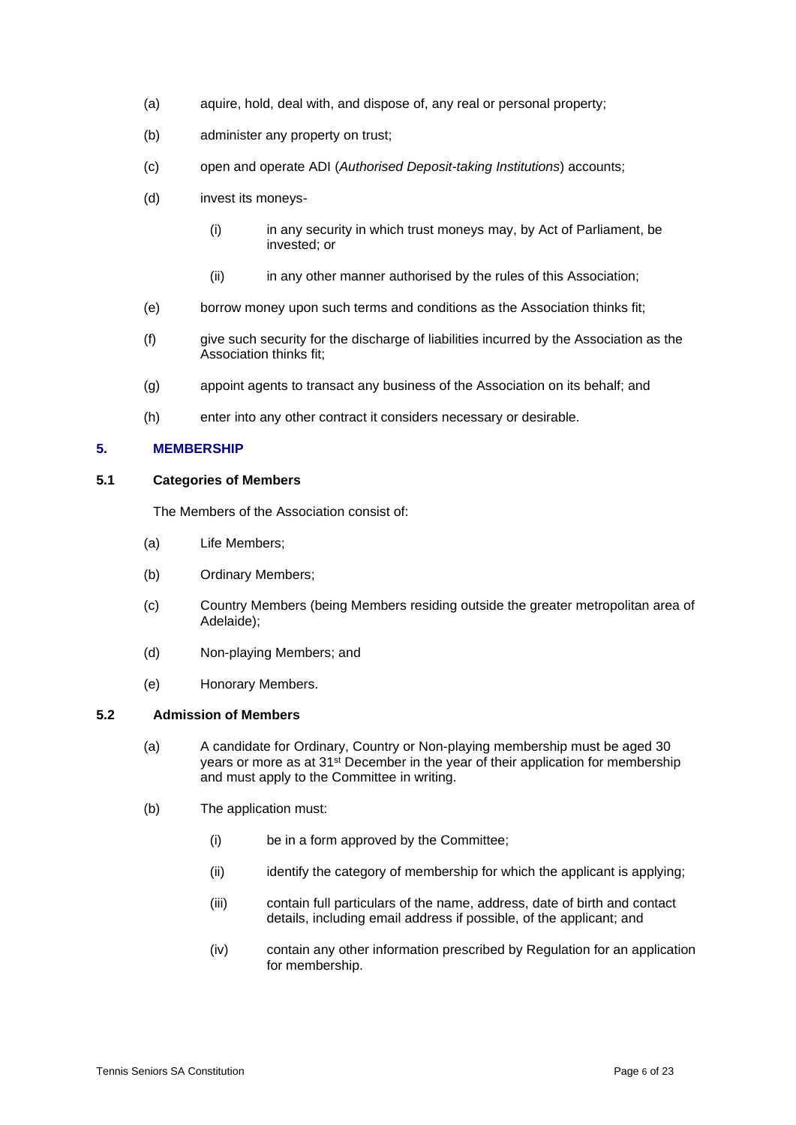- (a) aquire, hold, deal with, and dispose of, any real or personal property;
- (b) administer any property on trust;
- (c) open and operate ADI (*Authorised Deposit-taking Institutions*) accounts;
- (d) invest its moneys-
	- (i) in any security in which trust moneys may, by Act of Parliament, be invested; or
	- (ii) in any other manner authorised by the rules of this Association;
- (e) borrow money upon such terms and conditions as the Association thinks fit;
- (f) give such security for the discharge of liabilities incurred by the Association as the Association thinks fit;
- (g) appoint agents to transact any business of the Association on its behalf; and
- (h) enter into any other contract it considers necessary or desirable.

## <span id="page-5-0"></span>**5. MEMBERSHIP**

#### **5.1 Categories of Members**

The Members of the Association consist of:

- (a) Life Members;
- (b) Ordinary Members;
- (c) Country Members (being Members residing outside the greater metropolitan area of Adelaide);
- (d) Non-playing Members; and
- (e) Honorary Members.

## <span id="page-5-1"></span>**5.2 Admission of Members**

- (a) A candidate for Ordinary, Country or Non-playing membership must be aged 30 years or more as at 31<sup>st</sup> December in the year of their application for membership and must apply to the Committee in writing.
- (b) The application must:
	- (i) be in a form approved by the Committee;
	- (ii) identify the category of membership for which the applicant is applying;
	- (iii) contain full particulars of the name, address, date of birth and contact details, including email address if possible, of the applicant; and
	- (iv) contain any other information prescribed by Regulation for an application for membership.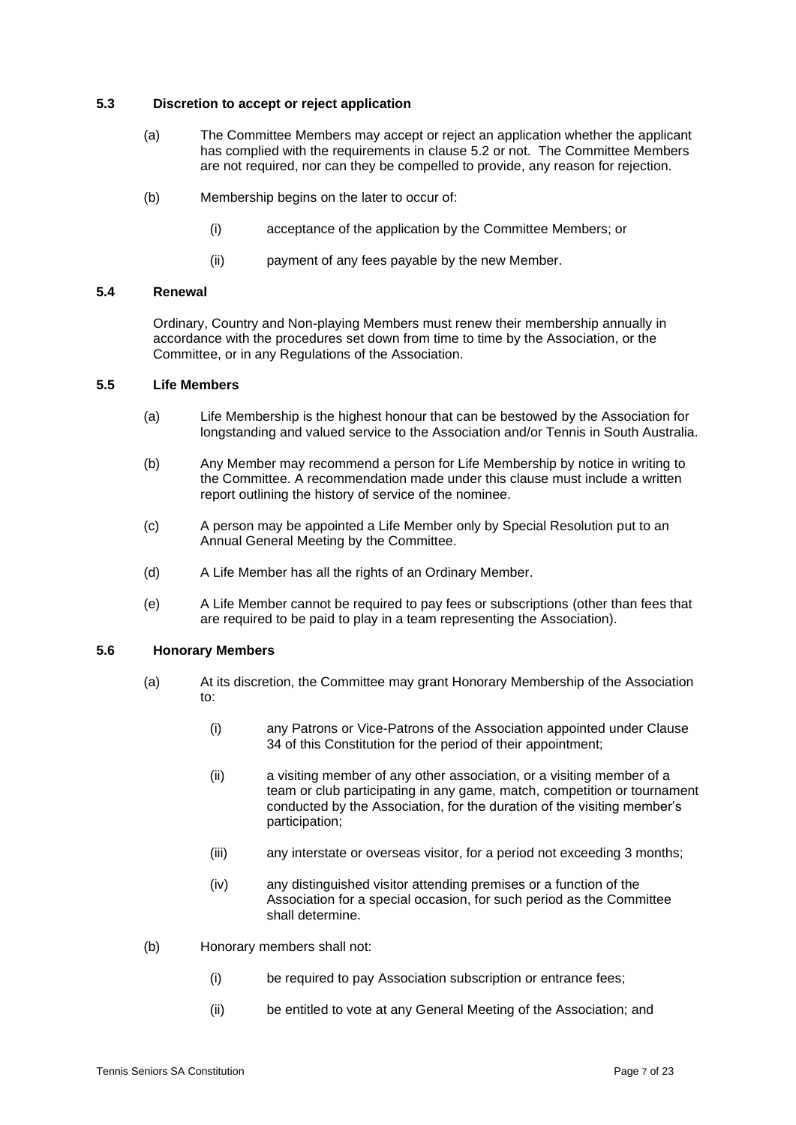## **5.3 Discretion to accept or reject application**

- (a) The Committee Members may accept or reject an application whether the applicant has complied with the requirements in clause [5.2](#page-5-1) or not. The Committee Members are not required, nor can they be compelled to provide, any reason for rejection.
- (b) Membership begins on the later to occur of:
	- (i) acceptance of the application by the Committee Members; or
	- (ii) payment of any fees payable by the new Member.

## **5.4 Renewal**

Ordinary, Country and Non-playing Members must renew their membership annually in accordance with the procedures set down from time to time by the Association, or the Committee, or in any Regulations of the Association.

#### **5.5 Life Members**

- (a) Life Membership is the highest honour that can be bestowed by the Association for longstanding and valued service to the Association and/or Tennis in South Australia.
- (b) Any Member may recommend a person for Life Membership by notice in writing to the Committee. A recommendation made under this clause must include a written report outlining the history of service of the nominee.
- (c) A person may be appointed a Life Member only by Special Resolution put to an Annual General Meeting by the Committee.
- (d) A Life Member has all the rights of an Ordinary Member.
- (e) A Life Member cannot be required to pay fees or subscriptions (other than fees that are required to be paid to play in a team representing the Association).

## **5.6 Honorary Members**

- (a) At its discretion, the Committee may grant Honorary Membership of the Association to:
	- (i) any Patrons or Vice-Patrons of the Association appointed under Clause 34 of this Constitution for the period of their appointment;
	- (ii) a visiting member of any other association, or a visiting member of a team or club participating in any game, match, competition or tournament conducted by the Association, for the duration of the visiting member's participation;
	- (iii) any interstate or overseas visitor, for a period not exceeding 3 months;
	- (iv) any distinguished visitor attending premises or a function of the Association for a special occasion, for such period as the Committee shall determine.
- (b) Honorary members shall not:
	- (i) be required to pay Association subscription or entrance fees;
	- (ii) be entitled to vote at any General Meeting of the Association; and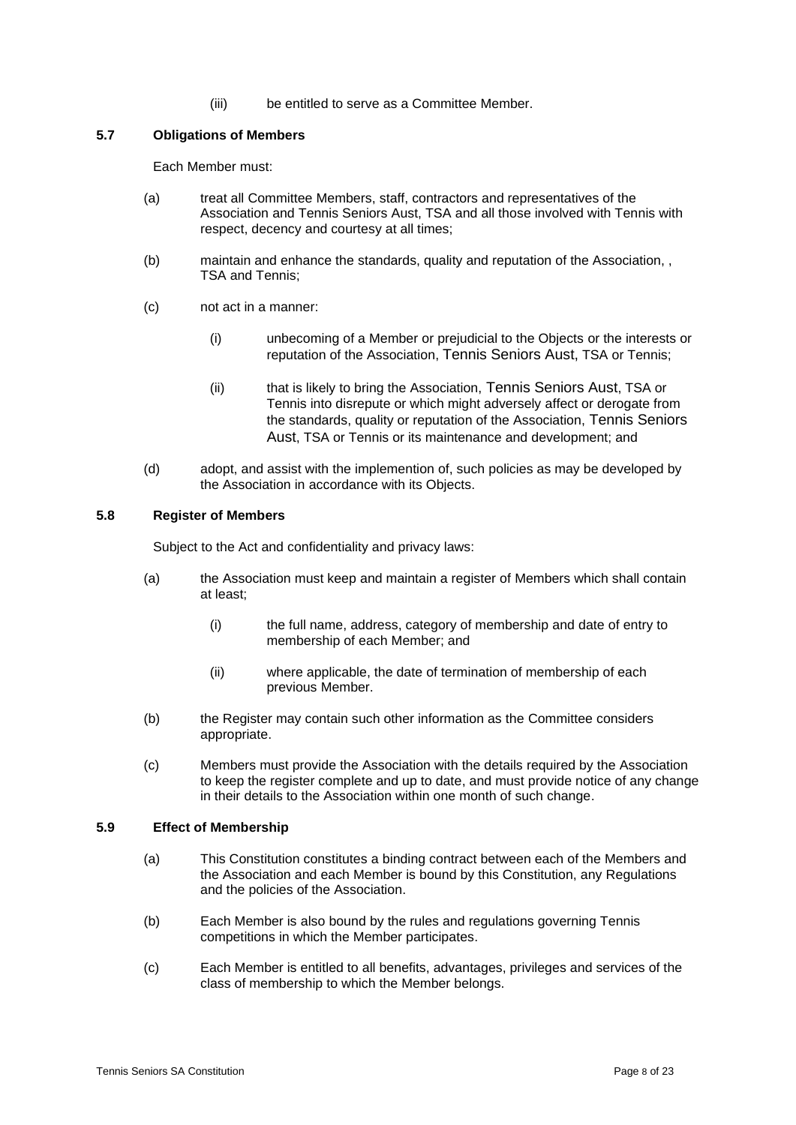(iii) be entitled to serve as a Committee Member.

## **5.7 Obligations of Members**

Each Member must:

- (a) treat all Committee Members, staff, contractors and representatives of the Association and Tennis Seniors Aust, TSA and all those involved with Tennis with respect, decency and courtesy at all times;
- (b) maintain and enhance the standards, quality and reputation of the Association, , TSA and Tennis;
- (c) not act in a manner:
	- (i) unbecoming of a Member or prejudicial to the Objects or the interests or reputation of the Association, Tennis Seniors Aust, TSA or Tennis;
	- (ii) that is likely to bring the Association, Tennis Seniors Aust, TSA or Tennis into disrepute or which might adversely affect or derogate from the standards, quality or reputation of the Association, Tennis Seniors Aust, TSA or Tennis or its maintenance and development; and
- (d) adopt, and assist with the implemention of, such policies as may be developed by the Association in accordance with its Objects.

#### **5.8 Register of Members**

Subject to the Act and confidentiality and privacy laws:

- (a) the Association must keep and maintain a register of Members which shall contain at least;
	- (i) the full name, address, category of membership and date of entry to membership of each Member; and
	- (ii) where applicable, the date of termination of membership of each previous Member.
- (b) the Register may contain such other information as the Committee considers appropriate.
- (c) Members must provide the Association with the details required by the Association to keep the register complete and up to date, and must provide notice of any change in their details to the Association within one month of such change.

#### **5.9 Effect of Membership**

- (a) This Constitution constitutes a binding contract between each of the Members and the Association and each Member is bound by this Constitution, any Regulations and the policies of the Association.
- (b) Each Member is also bound by the rules and regulations governing Tennis competitions in which the Member participates.
- (c) Each Member is entitled to all benefits, advantages, privileges and services of the class of membership to which the Member belongs.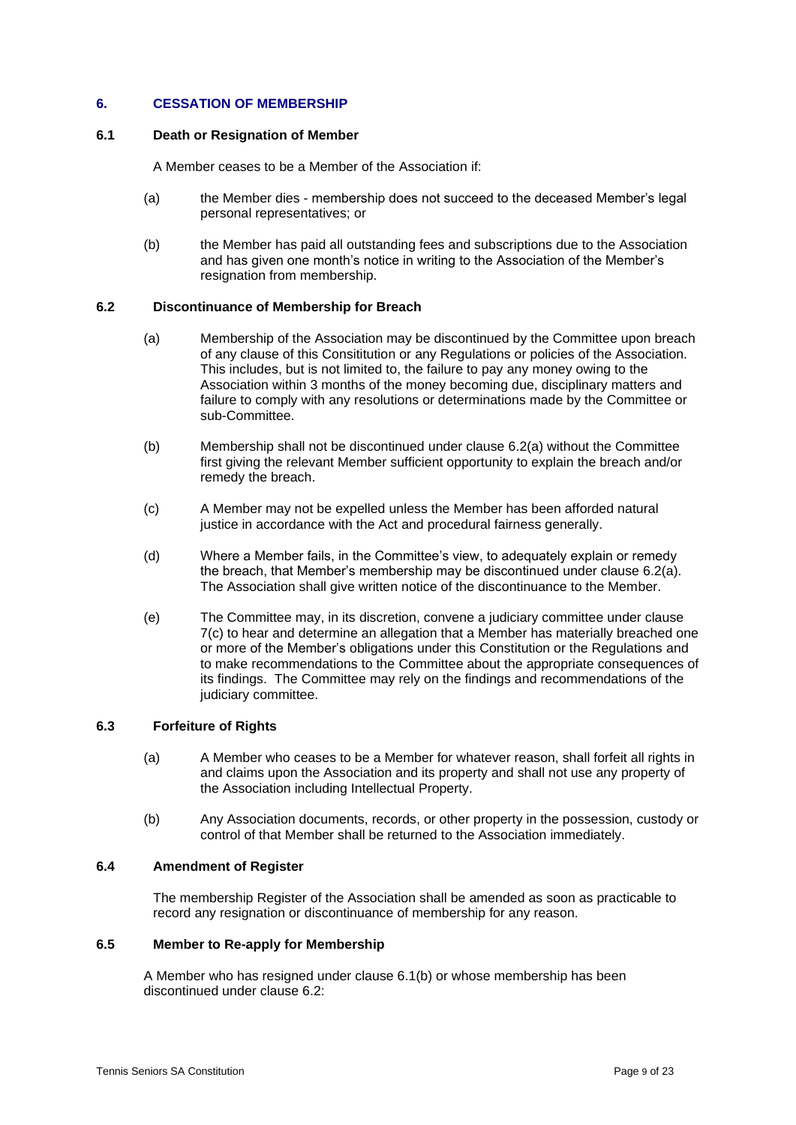## **6. CESSATION OF MEMBERSHIP**

#### **6.1 Death or Resignation of Member**

A Member ceases to be a Member of the Association if:

- (a) the Member dies membership does not succeed to the deceased Member's legal personal representatives; or
- (b) the Member has paid all outstanding fees and subscriptions due to the Association and has given one month's notice in writing to the Association of the Member's resignation from membership.

## **6.2 Discontinuance of Membership for Breach**

- (a) Membership of the Association may be discontinued by the Committee upon breach of any clause of this Consititution or any Regulations or policies of the Association. This includes, but is not limited to, the failure to pay any money owing to the Association within 3 months of the money becoming due, disciplinary matters and failure to comply with any resolutions or determinations made by the Committee or sub-Committee.
- (b) Membership shall not be discontinued under clause 6.2(a) without the Committee first giving the relevant Member sufficient opportunity to explain the breach and/or remedy the breach.
- (c) A Member may not be expelled unless the Member has been afforded natural justice in accordance with the Act and procedural fairness generally.
- (d) Where a Member fails, in the Committee's view, to adequately explain or remedy the breach, that Member's membership may be discontinued under clause 6.2(a). The Association shall give written notice of the discontinuance to the Member.
- (e) The Committee may, in its discretion, convene a judiciary committee under clause [7\(c\)](#page-9-2) to hear and determine an allegation that a Member has materially breached one or more of the Member's obligations under this Constitution or the Regulations and to make recommendations to the Committee about the appropriate consequences of its findings. The Committee may rely on the findings and recommendations of the judiciary committee.

## **6.3 Forfeiture of Rights**

- (a) A Member who ceases to be a Member for whatever reason, shall forfeit all rights in and claims upon the Association and its property and shall not use any property of the Association including Intellectual Property.
- (b) Any Association documents, records, or other property in the possession, custody or control of that Member shall be returned to the Association immediately.

#### **6.4 Amendment of Register**

The membership Register of the Association shall be amended as soon as practicable to record any resignation or discontinuance of membership for any reason.

## **6.5 Member to Re-apply for Membership**

A Member who has resigned under clause 6.1(b) or whose membership has been discontinued under clause 6.2: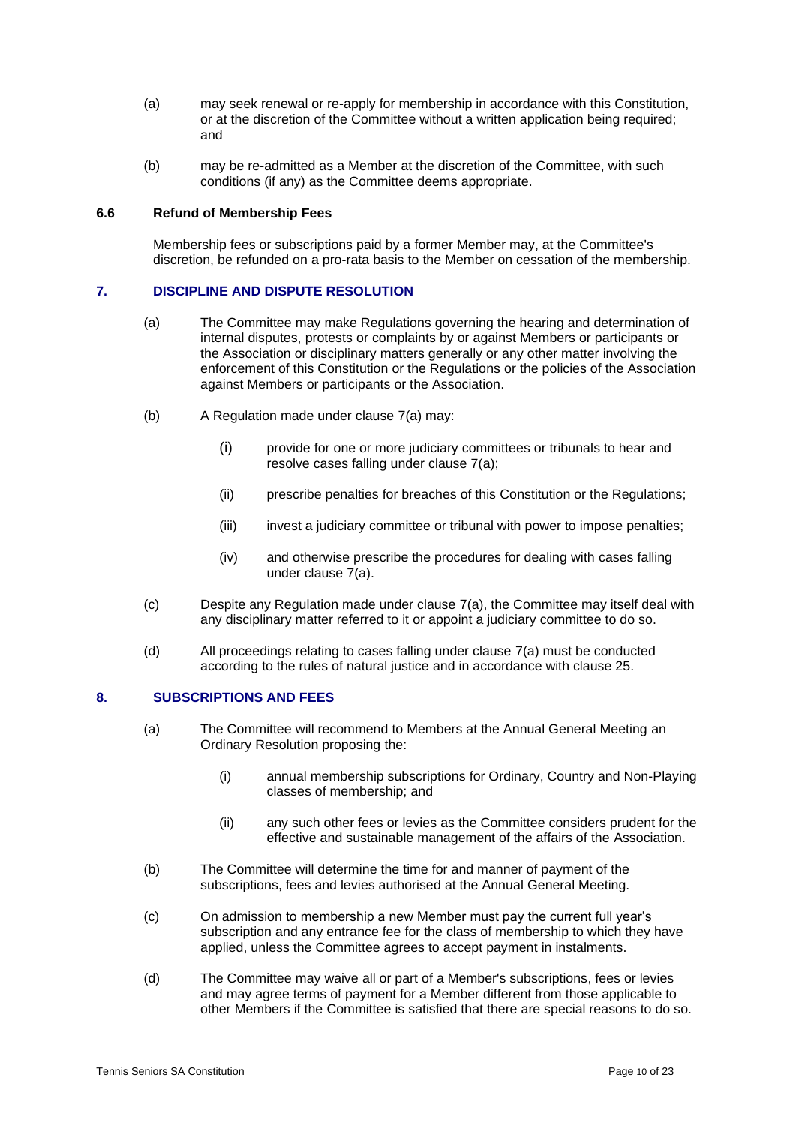- (a) may seek renewal or re-apply for membership in accordance with this Constitution, or at the discretion of the Committee without a written application being required; and
- (b) may be re-admitted as a Member at the discretion of the Committee, with such conditions (if any) as the Committee deems appropriate.

#### **6.6 Refund of Membership Fees**

Membership fees or subscriptions paid by a former Member may, at the Committee's discretion, be refunded on a pro-rata basis to the Member on cessation of the membership.

#### <span id="page-9-3"></span><span id="page-9-0"></span>**7. DISCIPLINE AND DISPUTE RESOLUTION**

- (a) The Committee may make Regulations governing the hearing and determination of internal disputes, protests or complaints by or against Members or participants or the Association or disciplinary matters generally or any other matter involving the enforcement of this Constitution or the Regulations or the policies of the Association against Members or participants or the Association.
- (b) A Regulation made under clause [7\(a\)](#page-9-3) may:
	- (i) provide for one or more judiciary committees or tribunals to hear and resolve cases falling under clause [7\(a\);](#page-9-3)
	- (ii) prescribe penalties for breaches of this Constitution or the Regulations;
	- (iii) invest a judiciary committee or tribunal with power to impose penalties;
	- (iv) and otherwise prescribe the procedures for dealing with cases falling under clause [7\(a\).](#page-9-3)
- <span id="page-9-2"></span>(c) Despite any Regulation made under clause [7\(a\),](#page-9-3) the Committee may itself deal with any disciplinary matter referred to it or appoint a judiciary committee to do so.
- (d) All proceedings relating to cases falling under clause [7\(a\)](#page-9-3) must be conducted according to the rules of natural justice and in accordance with clause 25.

#### <span id="page-9-1"></span>**8. SUBSCRIPTIONS AND FEES**

- (a) The Committee will recommend to Members at the Annual General Meeting an Ordinary Resolution proposing the:
	- (i) annual membership subscriptions for Ordinary, Country and Non-Playing classes of membership; and
	- (ii) any such other fees or levies as the Committee considers prudent for the effective and sustainable management of the affairs of the Association.
- (b) The Committee will determine the time for and manner of payment of the subscriptions, fees and levies authorised at the Annual General Meeting.
- (c) On admission to membership a new Member must pay the current full year's subscription and any entrance fee for the class of membership to which they have applied, unless the Committee agrees to accept payment in instalments.
- (d) The Committee may waive all or part of a Member's subscriptions, fees or levies and may agree terms of payment for a Member different from those applicable to other Members if the Committee is satisfied that there are special reasons to do so.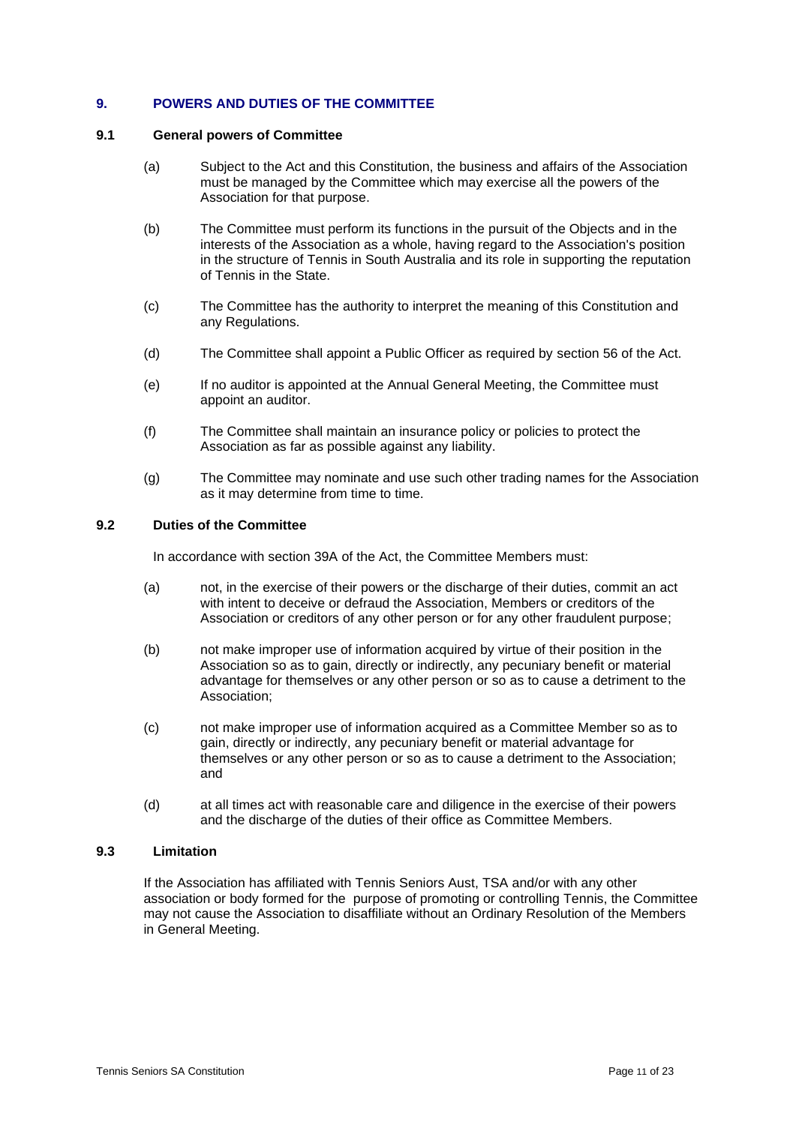## <span id="page-10-0"></span>**9. POWERS AND DUTIES OF THE COMMITTEE**

#### **9.1 General powers of Committee**

- (a) Subject to the Act and this Constitution, the business and affairs of the Association must be managed by the Committee which may exercise all the powers of the Association for that purpose.
- (b) The Committee must perform its functions in the pursuit of the Objects and in the interests of the Association as a whole, having regard to the Association's position in the structure of Tennis in South Australia and its role in supporting the reputation of Tennis in the State.
- (c) The Committee has the authority to interpret the meaning of this Constitution and any Regulations.
- (d) The Committee shall appoint a Public Officer as required by section 56 of the Act.
- (e) If no auditor is appointed at the Annual General Meeting, the Committee must appoint an auditor.
- (f) The Committee shall maintain an insurance policy or policies to protect the Association as far as possible against any liability.
- (g) The Committee may nominate and use such other trading names for the Association as it may determine from time to time.

#### **9.2 Duties of the Committee**

In accordance with section 39A of the Act, the Committee Members must:

- (a) not, in the exercise of their powers or the discharge of their duties, commit an act with intent to deceive or defraud the Association, Members or creditors of the Association or creditors of any other person or for any other fraudulent purpose;
- (b) not make improper use of information acquired by virtue of their position in the Association so as to gain, directly or indirectly, any pecuniary benefit or material advantage for themselves or any other person or so as to cause a detriment to the Association;
- (c) not make improper use of information acquired as a Committee Member so as to gain, directly or indirectly, any pecuniary benefit or material advantage for themselves or any other person or so as to cause a detriment to the Association; and
- (d) at all times act with reasonable care and diligence in the exercise of their powers and the discharge of the duties of their office as Committee Members.

#### **9.3 Limitation**

If the Association has affiliated with Tennis Seniors Aust, TSA and/or with any other association or body formed for the purpose of promoting or controlling Tennis, the Committee may not cause the Association to disaffiliate without an Ordinary Resolution of the Members in General Meeting.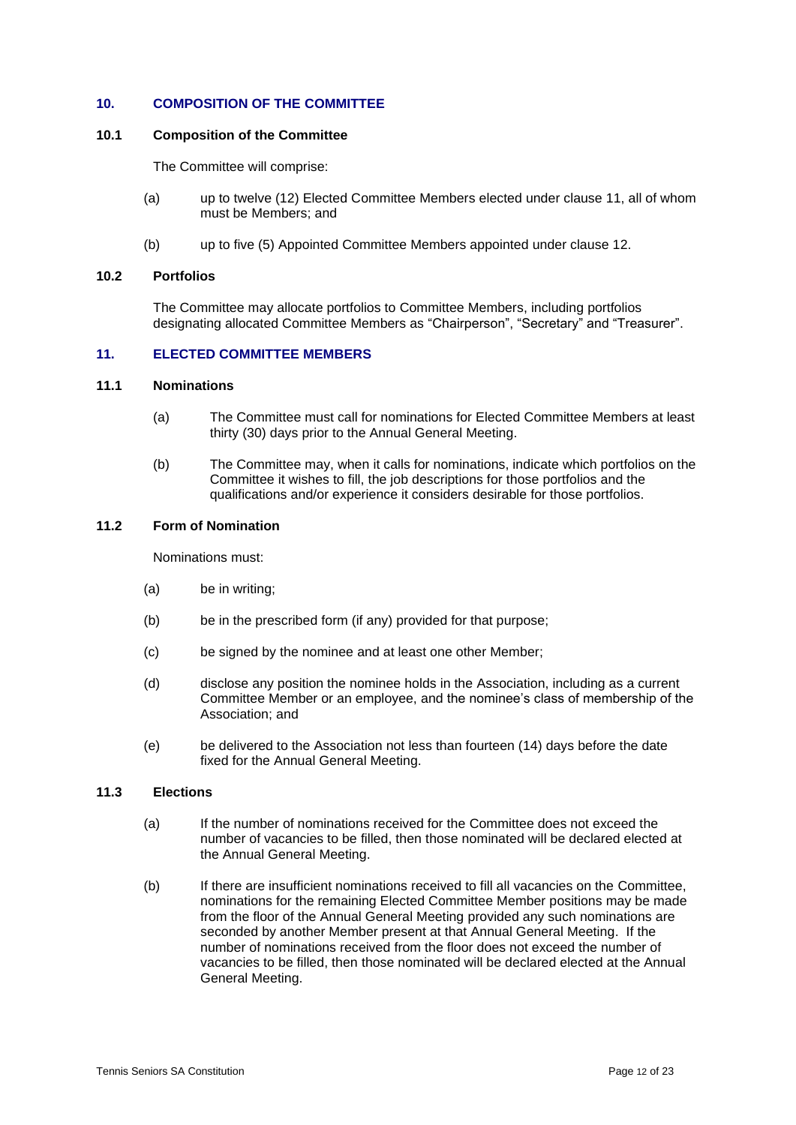## <span id="page-11-0"></span>**10. COMPOSITION OF THE COMMITTEE**

#### **10.1 Composition of the Committee**

The Committee will comprise:

- (a) up to twelve (12) Elected Committee Members elected under clause [11,](#page-11-1) all of whom must be Members; and
- (b) up to five (5) Appointed Committee Members appointed under clause [12.](#page-12-0)

#### **10.2 Portfolios**

The Committee may allocate portfolios to Committee Members, including portfolios designating allocated Committee Members as "Chairperson", "Secretary" and "Treasurer".

## <span id="page-11-1"></span>**11. ELECTED COMMITTEE MEMBERS**

#### **11.1 Nominations**

- (a) The Committee must call for nominations for Elected Committee Members at least thirty (30) days prior to the Annual General Meeting.
- (b) The Committee may, when it calls for nominations, indicate which portfolios on the Committee it wishes to fill, the job descriptions for those portfolios and the qualifications and/or experience it considers desirable for those portfolios.

## **11.2 Form of Nomination**

Nominations must:

- (a) be in writing;
- (b) be in the prescribed form (if any) provided for that purpose;
- (c) be signed by the nominee and at least one other Member;
- (d) disclose any position the nominee holds in the Association, including as a current Committee Member or an employee, and the nominee's class of membership of the Association; and
- (e) be delivered to the Association not less than fourteen (14) days before the date fixed for the Annual General Meeting.

#### **11.3 Elections**

- (a) If the number of nominations received for the Committee does not exceed the number of vacancies to be filled, then those nominated will be declared elected at the Annual General Meeting.
- (b) If there are insufficient nominations received to fill all vacancies on the Committee, nominations for the remaining Elected Committee Member positions may be made from the floor of the Annual General Meeting provided any such nominations are seconded by another Member present at that Annual General Meeting. If the number of nominations received from the floor does not exceed the number of vacancies to be filled, then those nominated will be declared elected at the Annual General Meeting.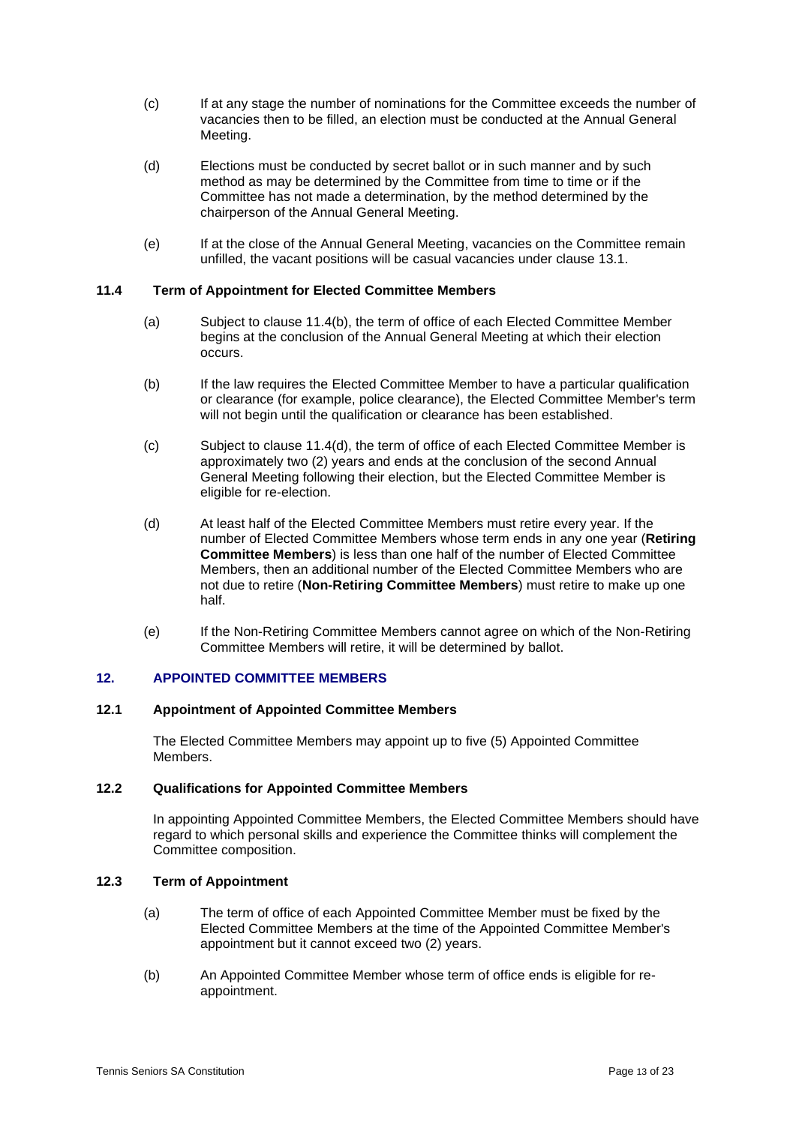- (c) If at any stage the number of nominations for the Committee exceeds the number of vacancies then to be filled, an election must be conducted at the Annual General Meeting.
- (d) Elections must be conducted by secret ballot or in such manner and by such method as may be determined by the Committee from time to time or if the Committee has not made a determination, by the method determined by the chairperson of the Annual General Meeting.
- (e) If at the close of the Annual General Meeting, vacancies on the Committee remain unfilled, the vacant positions will be casual vacancies under clause [13.1.](#page-13-2)

## **11.4 Term of Appointment for Elected Committee Members**

- (a) Subject to clause [11.4\(b\),](#page-12-1) the term of office of each Elected Committee Member begins at the conclusion of the Annual General Meeting at which their election occurs.
- <span id="page-12-1"></span>(b) If the law requires the Elected Committee Member to have a particular qualification or clearance (for example, police clearance), the Elected Committee Member's term will not begin until the qualification or clearance has been established.
- (c) Subject to clause [11.4\(d\),](#page-12-2) the term of office of each Elected Committee Member is approximately two (2) years and ends at the conclusion of the second Annual General Meeting following their election, but the Elected Committee Member is eligible for re-election.
- <span id="page-12-2"></span>(d) At least half of the Elected Committee Members must retire every year. If the number of Elected Committee Members whose term ends in any one year (**Retiring Committee Members**) is less than one half of the number of Elected Committee Members, then an additional number of the Elected Committee Members who are not due to retire (**Non-Retiring Committee Members**) must retire to make up one half.
- (e) If the Non-Retiring Committee Members cannot agree on which of the Non-Retiring Committee Members will retire, it will be determined by ballot.

## <span id="page-12-0"></span>**12. APPOINTED COMMITTEE MEMBERS**

## **12.1 Appointment of Appointed Committee Members**

The Elected Committee Members may appoint up to five (5) Appointed Committee Members.

#### **12.2 Qualifications for Appointed Committee Members**

In appointing Appointed Committee Members, the Elected Committee Members should have regard to which personal skills and experience the Committee thinks will complement the Committee composition.

#### **12.3 Term of Appointment**

- (a) The term of office of each Appointed Committee Member must be fixed by the Elected Committee Members at the time of the Appointed Committee Member's appointment but it cannot exceed two (2) years.
- (b) An Appointed Committee Member whose term of office ends is eligible for reappointment.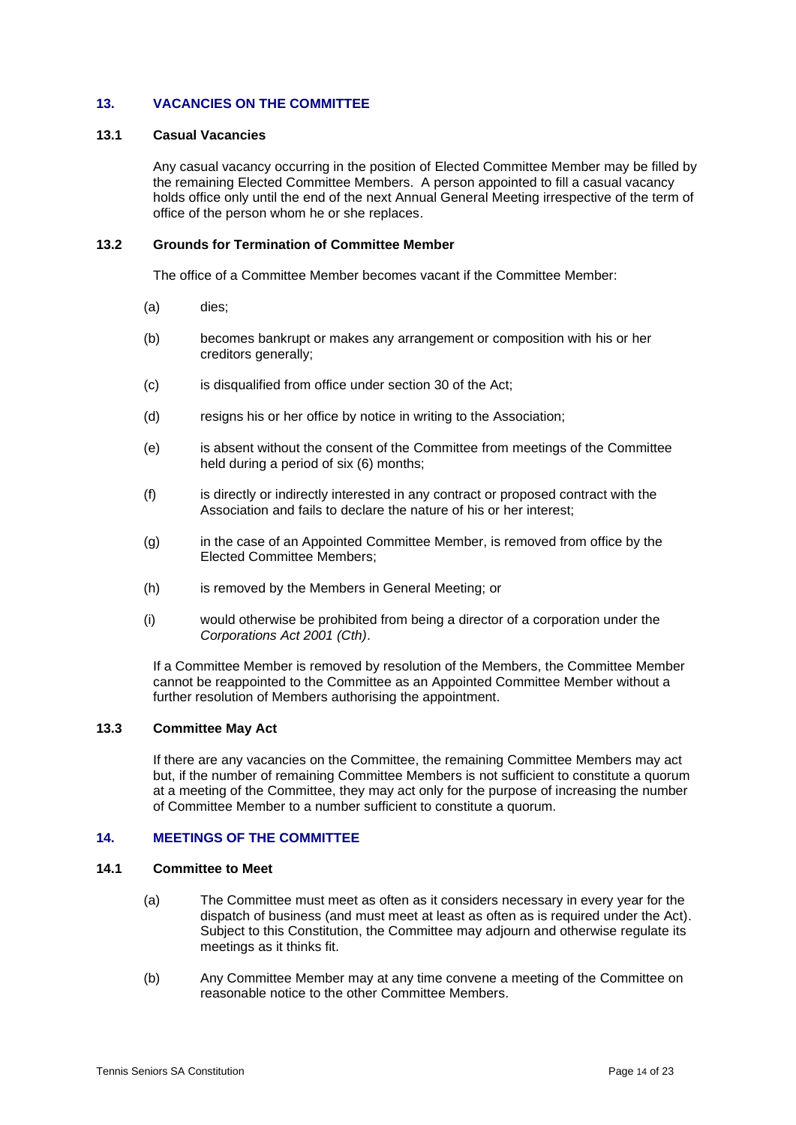## <span id="page-13-0"></span>**13. VACANCIES ON THE COMMITTEE**

#### <span id="page-13-2"></span>**13.1 Casual Vacancies**

Any casual vacancy occurring in the position of Elected Committee Member may be filled by the remaining Elected Committee Members. A person appointed to fill a casual vacancy holds office only until the end of the next Annual General Meeting irrespective of the term of office of the person whom he or she replaces.

#### **13.2 Grounds for Termination of Committee Member**

The office of a Committee Member becomes vacant if the Committee Member:

- (a) dies;
- (b) becomes bankrupt or makes any arrangement or composition with his or her creditors generally;
- (c) is disqualified from office under section 30 of the Act;
- (d) resigns his or her office by notice in writing to the Association;
- (e) is absent without the consent of the Committee from meetings of the Committee held during a period of six (6) months;
- (f) is directly or indirectly interested in any contract or proposed contract with the Association and fails to declare the nature of his or her interest;
- (g) in the case of an Appointed Committee Member, is removed from office by the Elected Committee Members;
- (h) is removed by the Members in General Meeting; or
- (i) would otherwise be prohibited from being a director of a corporation under the *Corporations Act 2001 (Cth)*.

If a Committee Member is removed by resolution of the Members, the Committee Member cannot be reappointed to the Committee as an Appointed Committee Member without a further resolution of Members authorising the appointment.

## **13.3 Committee May Act**

If there are any vacancies on the Committee, the remaining Committee Members may act but, if the number of remaining Committee Members is not sufficient to constitute a quorum at a meeting of the Committee, they may act only for the purpose of increasing the number of Committee Member to a number sufficient to constitute a quorum.

#### <span id="page-13-1"></span>**14. MEETINGS OF THE COMMITTEE**

#### **14.1 Committee to Meet**

- (a) The Committee must meet as often as it considers necessary in every year for the dispatch of business (and must meet at least as often as is required under the Act). Subject to this Constitution, the Committee may adjourn and otherwise regulate its meetings as it thinks fit.
- (b) Any Committee Member may at any time convene a meeting of the Committee on reasonable notice to the other Committee Members.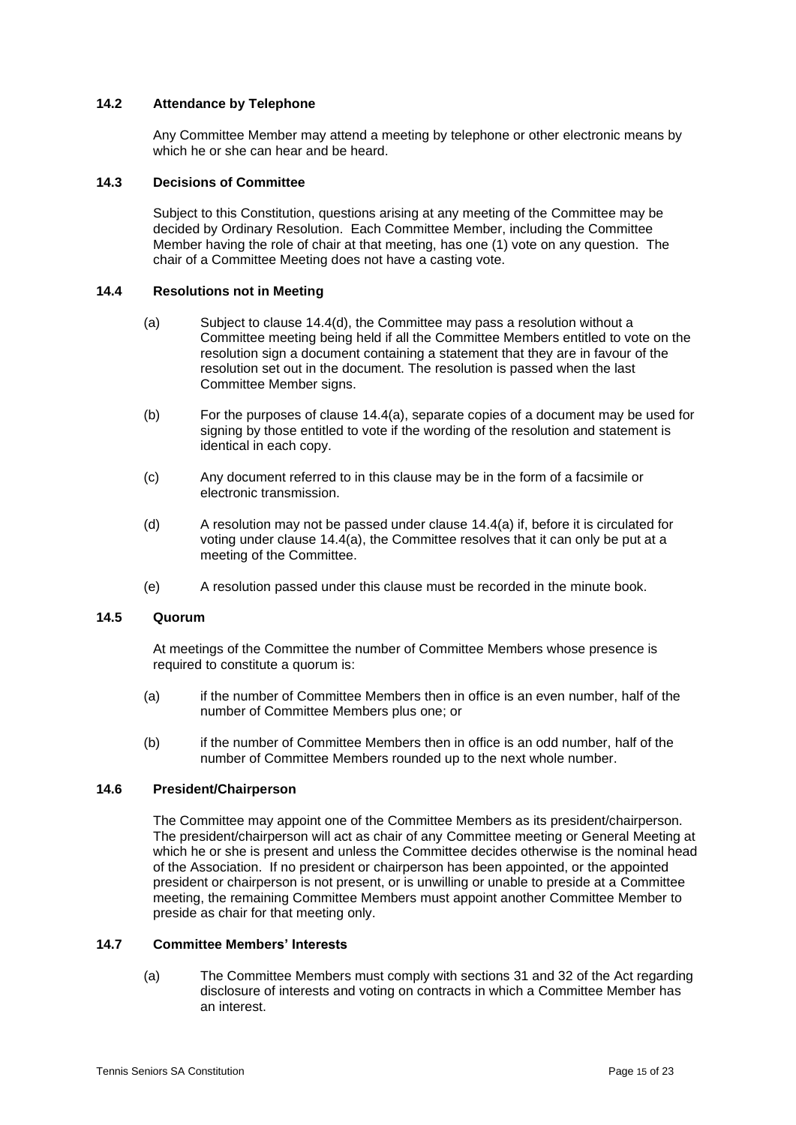## **14.2 Attendance by Telephone**

Any Committee Member may attend a meeting by telephone or other electronic means by which he or she can hear and be heard.

## **14.3 Decisions of Committee**

Subject to this Constitution, questions arising at any meeting of the Committee may be decided by Ordinary Resolution. Each Committee Member, including the Committee Member having the role of chair at that meeting, has one (1) vote on any question. The chair of a Committee Meeting does not have a casting vote.

## <span id="page-14-1"></span>**14.4 Resolutions not in Meeting**

- (a) Subject to clause  $14.4(d)$ , the Committee may pass a resolution without a Committee meeting being held if all the Committee Members entitled to vote on the resolution sign a document containing a statement that they are in favour of the resolution set out in the document. The resolution is passed when the last Committee Member signs.
- (b) For the purposes of clause [14.4\(a\),](#page-14-1) separate copies of a document may be used for signing by those entitled to vote if the wording of the resolution and statement is identical in each copy.
- (c) Any document referred to in this clause may be in the form of a facsimile or electronic transmission.
- <span id="page-14-0"></span>(d) A resolution may not be passed under clause [14.4\(a\)](#page-14-1) if, before it is circulated for voting under clause [14.4\(a\),](#page-14-1) the Committee resolves that it can only be put at a meeting of the Committee.
- (e) A resolution passed under this clause must be recorded in the minute book.

#### **14.5 Quorum**

At meetings of the Committee the number of Committee Members whose presence is required to constitute a quorum is:

- (a) if the number of Committee Members then in office is an even number, half of the number of Committee Members plus one; or
- (b) if the number of Committee Members then in office is an odd number, half of the number of Committee Members rounded up to the next whole number.

## **14.6 President/Chairperson**

The Committee may appoint one of the Committee Members as its president/chairperson. The president/chairperson will act as chair of any Committee meeting or General Meeting at which he or she is present and unless the Committee decides otherwise is the nominal head of the Association. If no president or chairperson has been appointed, or the appointed president or chairperson is not present, or is unwilling or unable to preside at a Committee meeting, the remaining Committee Members must appoint another Committee Member to preside as chair for that meeting only.

## **14.7 Committee Members' Interests**

(a) The Committee Members must comply with sections 31 and 32 of the Act regarding disclosure of interests and voting on contracts in which a Committee Member has an interest.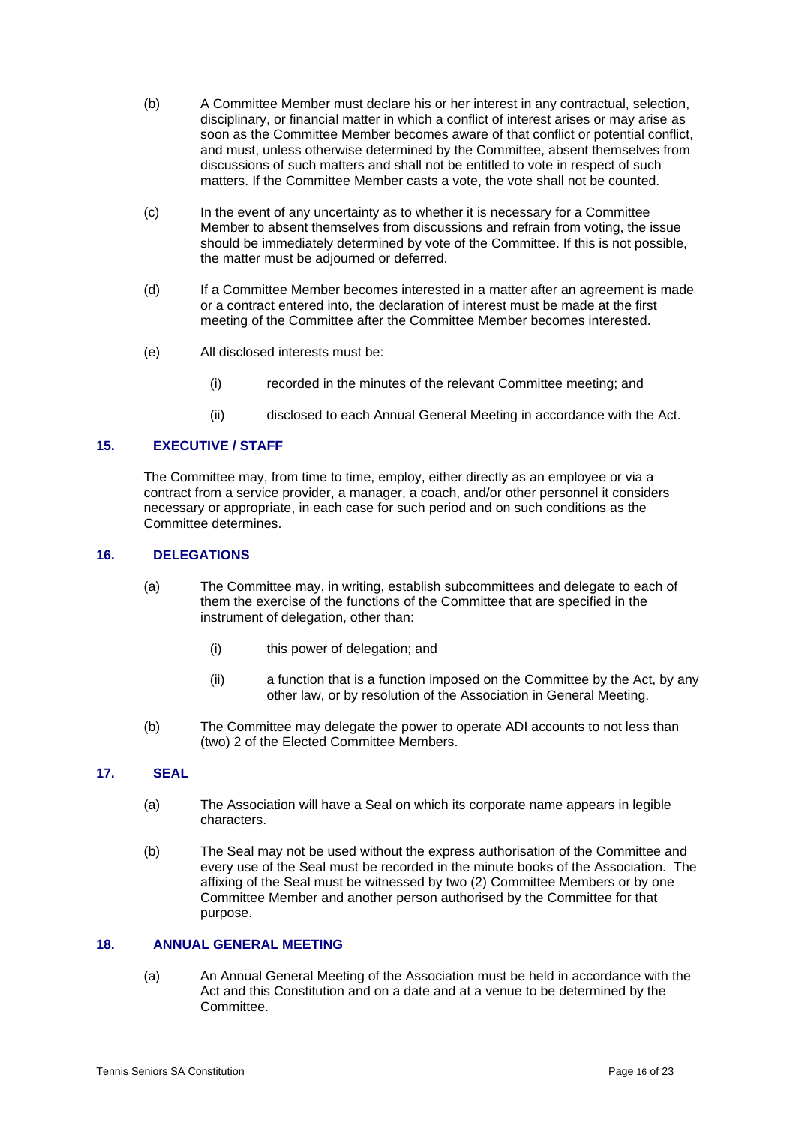- (b) A Committee Member must declare his or her interest in any contractual, selection, disciplinary, or financial matter in which a conflict of interest arises or may arise as soon as the Committee Member becomes aware of that conflict or potential conflict, and must, unless otherwise determined by the Committee, absent themselves from discussions of such matters and shall not be entitled to vote in respect of such matters. If the Committee Member casts a vote, the vote shall not be counted.
- (c) In the event of any uncertainty as to whether it is necessary for a Committee Member to absent themselves from discussions and refrain from voting, the issue should be immediately determined by vote of the Committee. If this is not possible, the matter must be adjourned or deferred.
- (d) If a Committee Member becomes interested in a matter after an agreement is made or a contract entered into, the declaration of interest must be made at the first meeting of the Committee after the Committee Member becomes interested.
- (e) All disclosed interests must be:
	- (i) recorded in the minutes of the relevant Committee meeting; and
	- (ii) disclosed to each Annual General Meeting in accordance with the Act.

## <span id="page-15-0"></span>**15. EXECUTIVE / STAFF**

The Committee may, from time to time, employ, either directly as an employee or via a contract from a service provider, a manager, a coach, and/or other personnel it considers necessary or appropriate, in each case for such period and on such conditions as the Committee determines.

#### <span id="page-15-1"></span>**16. DELEGATIONS**

- (a) The Committee may, in writing, establish subcommittees and delegate to each of them the exercise of the functions of the Committee that are specified in the instrument of delegation, other than:
	- (i) this power of delegation; and
	- (ii) a function that is a function imposed on the Committee by the Act, by any other law, or by resolution of the Association in General Meeting.
- (b) The Committee may delegate the power to operate ADI accounts to not less than (two) 2 of the Elected Committee Members.

## <span id="page-15-2"></span>**17. SEAL**

- (a) The Association will have a Seal on which its corporate name appears in legible characters.
- (b) The Seal may not be used without the express authorisation of the Committee and every use of the Seal must be recorded in the minute books of the Association. The affixing of the Seal must be witnessed by two (2) Committee Members or by one Committee Member and another person authorised by the Committee for that purpose.

## <span id="page-15-4"></span><span id="page-15-3"></span>**18. ANNUAL GENERAL MEETING**

(a) An Annual General Meeting of the Association must be held in accordance with the Act and this Constitution and on a date and at a venue to be determined by the Committee.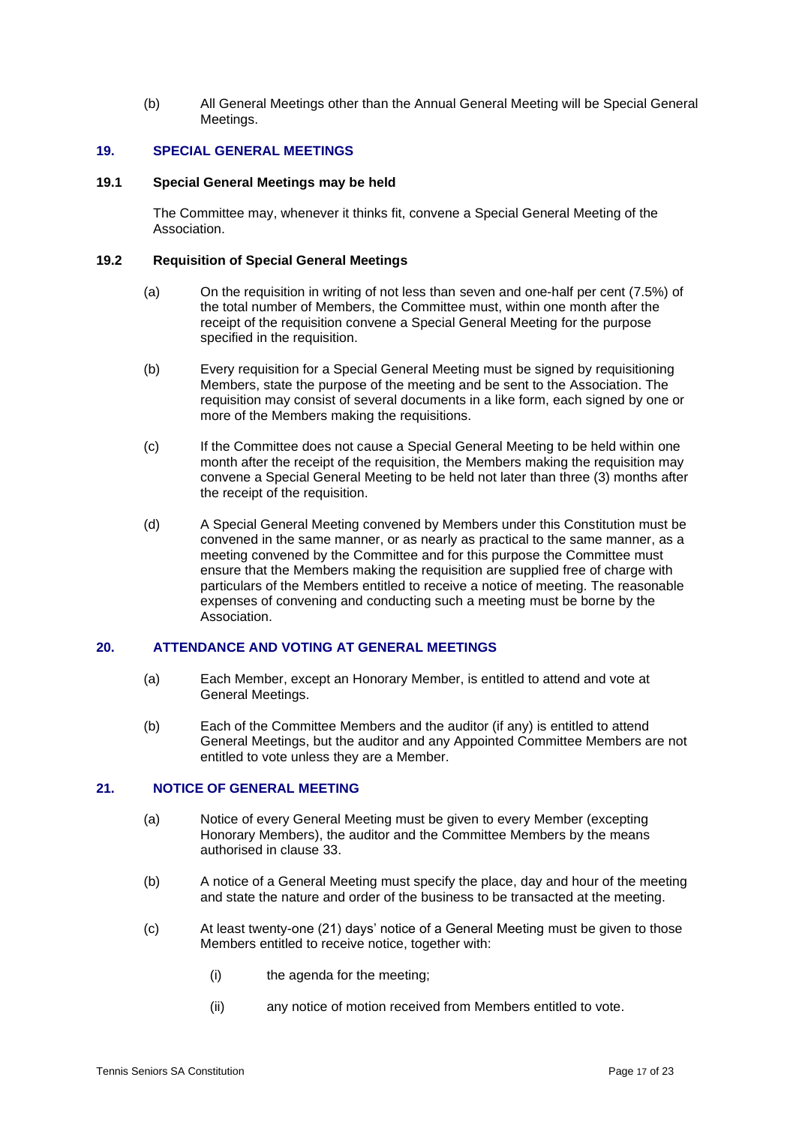(b) All General Meetings other than the Annual General Meeting will be Special General Meetings.

#### <span id="page-16-0"></span>**19. SPECIAL GENERAL MEETINGS**

#### **19.1 Special General Meetings may be held**

The Committee may, whenever it thinks fit, convene a Special General Meeting of the Association.

## <span id="page-16-3"></span>**19.2 Requisition of Special General Meetings**

- (a) On the requisition in writing of not less than seven and one-half per cent (7.5%) of the total number of Members, the Committee must, within one month after the receipt of the requisition convene a Special General Meeting for the purpose specified in the requisition.
- (b) Every requisition for a Special General Meeting must be signed by requisitioning Members, state the purpose of the meeting and be sent to the Association. The requisition may consist of several documents in a like form, each signed by one or more of the Members making the requisitions.
- (c) If the Committee does not cause a Special General Meeting to be held within one month after the receipt of the requisition, the Members making the requisition may convene a Special General Meeting to be held not later than three (3) months after the receipt of the requisition.
- (d) A Special General Meeting convened by Members under this Constitution must be convened in the same manner, or as nearly as practical to the same manner, as a meeting convened by the Committee and for this purpose the Committee must ensure that the Members making the requisition are supplied free of charge with particulars of the Members entitled to receive a notice of meeting. The reasonable expenses of convening and conducting such a meeting must be borne by the Association.

## <span id="page-16-1"></span>**20. ATTENDANCE AND VOTING AT GENERAL MEETINGS**

- (a) Each Member, except an Honorary Member, is entitled to attend and vote at General Meetings.
- (b) Each of the Committee Members and the auditor (if any) is entitled to attend General Meetings, but the auditor and any Appointed Committee Members are not entitled to vote unless they are a Member.

## <span id="page-16-2"></span>**21. NOTICE OF GENERAL MEETING**

- (a) Notice of every General Meeting must be given to every Member (excepting Honorary Members), the auditor and the Committee Members by the means authorised in clause [33.](#page-21-0)
- (b) A notice of a General Meeting must specify the place, day and hour of the meeting and state the nature and order of the business to be transacted at the meeting.
- (c) At least twenty-one (21) days' notice of a General Meeting must be given to those Members entitled to receive notice, together with:
	- (i) the agenda for the meeting;
	- (ii) any notice of motion received from Members entitled to vote.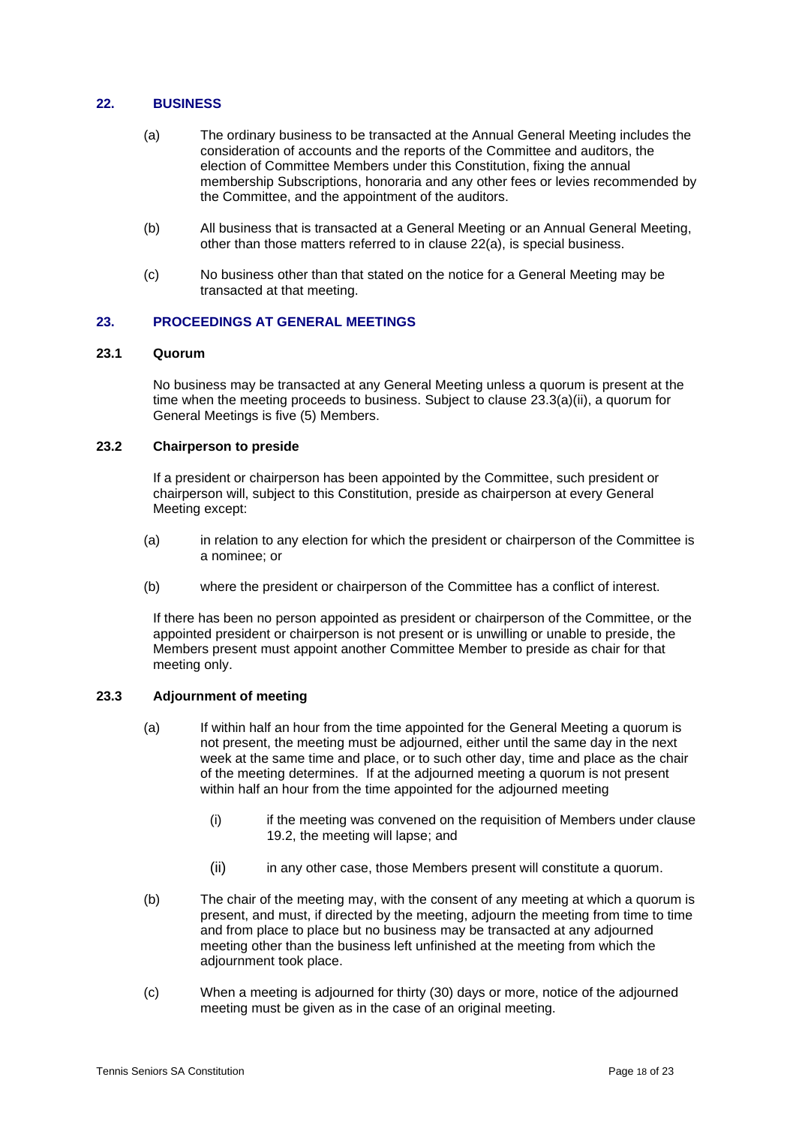## <span id="page-17-2"></span><span id="page-17-0"></span>**22. BUSINESS**

- (a) The ordinary business to be transacted at the Annual General Meeting includes the consideration of accounts and the reports of the Committee and auditors, the election of Committee Members under this Constitution, fixing the annual membership Subscriptions, honoraria and any other fees or levies recommended by the Committee, and the appointment of the auditors.
- (b) All business that is transacted at a General Meeting or an Annual General Meeting, other than those matters referred to in clause [22](#page-17-0)[\(a\),](#page-17-2) is special business.
- (c) No business other than that stated on the notice for a General Meeting may be transacted at that meeting.

## <span id="page-17-1"></span>**23. PROCEEDINGS AT GENERAL MEETINGS**

#### **23.1 Quorum**

No business may be transacted at any General Meeting unless a quorum is present at the time when the meeting proceeds to business. Subject to clause [23.3\(a\)\(ii\),](#page-17-3) a quorum for General Meetings is five (5) Members.

## **23.2 Chairperson to preside**

If a president or chairperson has been appointed by the Committee, such president or chairperson will, subject to this Constitution, preside as chairperson at every General Meeting except:

- (a) in relation to any election for which the president or chairperson of the Committee is a nominee; or
- (b) where the president or chairperson of the Committee has a conflict of interest.

If there has been no person appointed as president or chairperson of the Committee, or the appointed president or chairperson is not present or is unwilling or unable to preside, the Members present must appoint another Committee Member to preside as chair for that meeting only.

## <span id="page-17-4"></span>**23.3 Adjournment of meeting**

- (a) If within half an hour from the time appointed for the General Meeting a quorum is not present, the meeting must be adjourned, either until the same day in the next week at the same time and place, or to such other day, time and place as the chair of the meeting determines. If at the adjourned meeting a quorum is not present within half an hour from the time appointed for the adjourned meeting
	- (i) if the meeting was convened on the requisition of Members under clause [19.2,](#page-16-3) the meeting will lapse; and
	- (ii) in any other case, those Members present will constitute a quorum.
- <span id="page-17-3"></span>(b) The chair of the meeting may, with the consent of any meeting at which a quorum is present, and must, if directed by the meeting, adjourn the meeting from time to time and from place to place but no business may be transacted at any adjourned meeting other than the business left unfinished at the meeting from which the adjournment took place.
- <span id="page-17-5"></span>(c) When a meeting is adjourned for thirty (30) days or more, notice of the adjourned meeting must be given as in the case of an original meeting.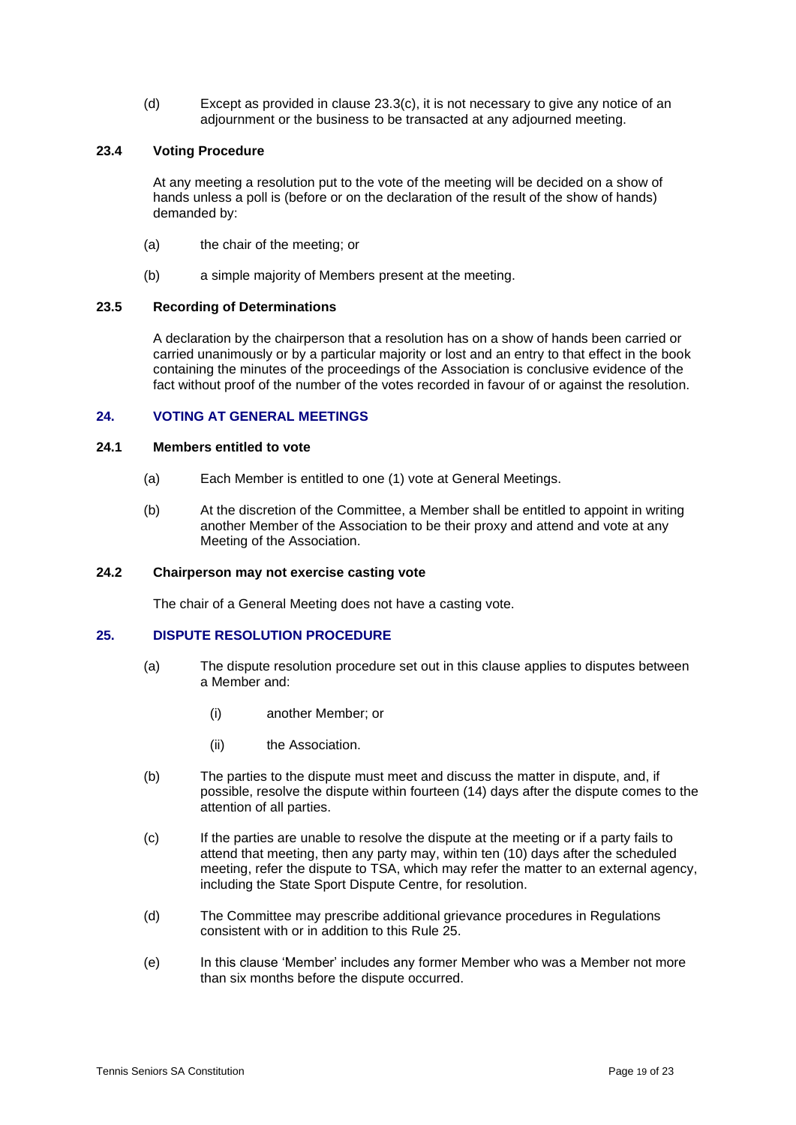(d) Except as provided in clause [23.3](#page-17-4)[\(c\),](#page-17-5) it is not necessary to give any notice of an adjournment or the business to be transacted at any adjourned meeting.

## **23.4 Voting Procedure**

At any meeting a resolution put to the vote of the meeting will be decided on a show of hands unless a poll is (before or on the declaration of the result of the show of hands) demanded by:

- (a) the chair of the meeting; or
- (b) a simple majority of Members present at the meeting.

#### **23.5 Recording of Determinations**

A declaration by the chairperson that a resolution has on a show of hands been carried or carried unanimously or by a particular majority or lost and an entry to that effect in the book containing the minutes of the proceedings of the Association is conclusive evidence of the fact without proof of the number of the votes recorded in favour of or against the resolution.

## <span id="page-18-0"></span>**24. VOTING AT GENERAL MEETINGS**

## **24.1 Members entitled to vote**

- (a) Each Member is entitled to one (1) vote at General Meetings.
- (b) At the discretion of the Committee, a Member shall be entitled to appoint in writing another Member of the Association to be their proxy and attend and vote at any Meeting of the Association.

## **24.2 Chairperson may not exercise casting vote**

The chair of a General Meeting does not have a casting vote.

## <span id="page-18-1"></span>**25. DISPUTE RESOLUTION PROCEDURE**

- (a) The dispute resolution procedure set out in this clause applies to disputes between a Member and:
	- (i) another Member; or
	- (ii) the Association.
- (b) The parties to the dispute must meet and discuss the matter in dispute, and, if possible, resolve the dispute within fourteen (14) days after the dispute comes to the attention of all parties.
- (c) If the parties are unable to resolve the dispute at the meeting or if a party fails to attend that meeting, then any party may, within ten (10) days after the scheduled meeting, refer the dispute to TSA, which may refer the matter to an external agency, including the State Sport Dispute Centre, for resolution.
- (d) The Committee may prescribe additional grievance procedures in Regulations consistent with or in addition to this Rule [25.](#page-18-1)
- (e) In this clause 'Member' includes any former Member who was a Member not more than six months before the dispute occurred.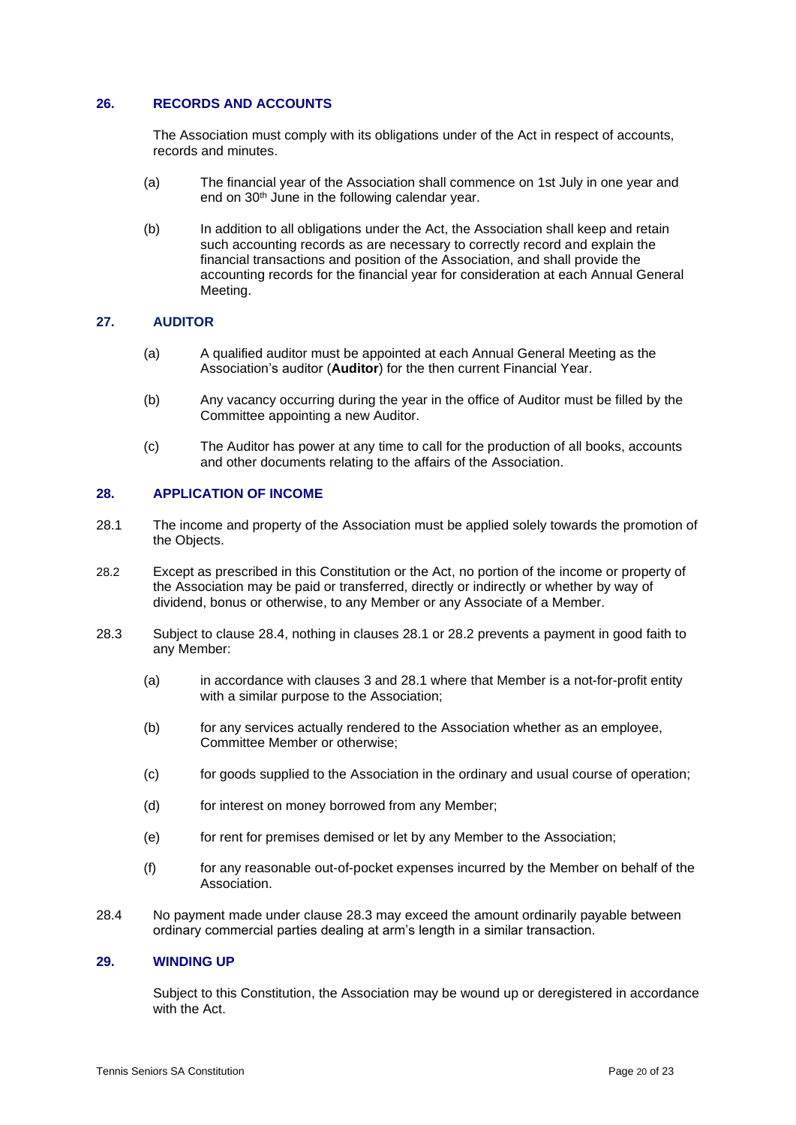## <span id="page-19-0"></span>**26. RECORDS AND ACCOUNTS**

The Association must comply with its obligations under of the Act in respect of accounts, records and minutes.

- (a) The financial year of the Association shall commence on 1st July in one year and end on 30<sup>th</sup> June in the following calendar year.
- (b) In addition to all obligations under the Act, the Association shall keep and retain such accounting records as are necessary to correctly record and explain the financial transactions and position of the Association, and shall provide the accounting records for the financial year for consideration at each Annual General Meeting.

#### <span id="page-19-1"></span>**27. AUDITOR**

- (a) A qualified auditor must be appointed at each Annual General Meeting as the Association's auditor (**Auditor**) for the then current Financial Year.
- (b) Any vacancy occurring during the year in the office of Auditor must be filled by the Committee appointing a new Auditor.
- (c) The Auditor has power at any time to call for the production of all books, accounts and other documents relating to the affairs of the Association.

## <span id="page-19-2"></span>**28. APPLICATION OF INCOME**

- <span id="page-19-5"></span>28.1 The income and property of the Association must be applied solely towards the promotion of the Objects.
- <span id="page-19-6"></span>28.2 Except as prescribed in this Constitution or the Act, no portion of the income or property of the Association may be paid or transferred, directly or indirectly or whether by way of dividend, bonus or otherwise, to any Member or any Associate of a Member.
- <span id="page-19-7"></span>28.3 Subject to clause [28.4,](#page-19-4) nothing in clauses [28.1](#page-19-5) or [28.2](#page-19-6) prevents a payment in good faith to any Member:
	- (a) in accordance with clauses [3](#page-4-0) and [28.1](#page-19-5) where that Member is a not-for-profit entity with a similar purpose to the Association;
	- (b) for any services actually rendered to the Association whether as an employee, Committee Member or otherwise;
	- (c) for goods supplied to the Association in the ordinary and usual course of operation;
	- (d) for interest on money borrowed from any Member;
	- (e) for rent for premises demised or let by any Member to the Association;
	- (f) for any reasonable out-of-pocket expenses incurred by the Member on behalf of the Association.
- <span id="page-19-4"></span>28.4 No payment made under clause [28.3](#page-19-7) may exceed the amount ordinarily payable between ordinary commercial parties dealing at arm's length in a similar transaction.

#### <span id="page-19-3"></span>**29. WINDING UP**

Subject to this Constitution, the Association may be wound up or deregistered in accordance with the Act.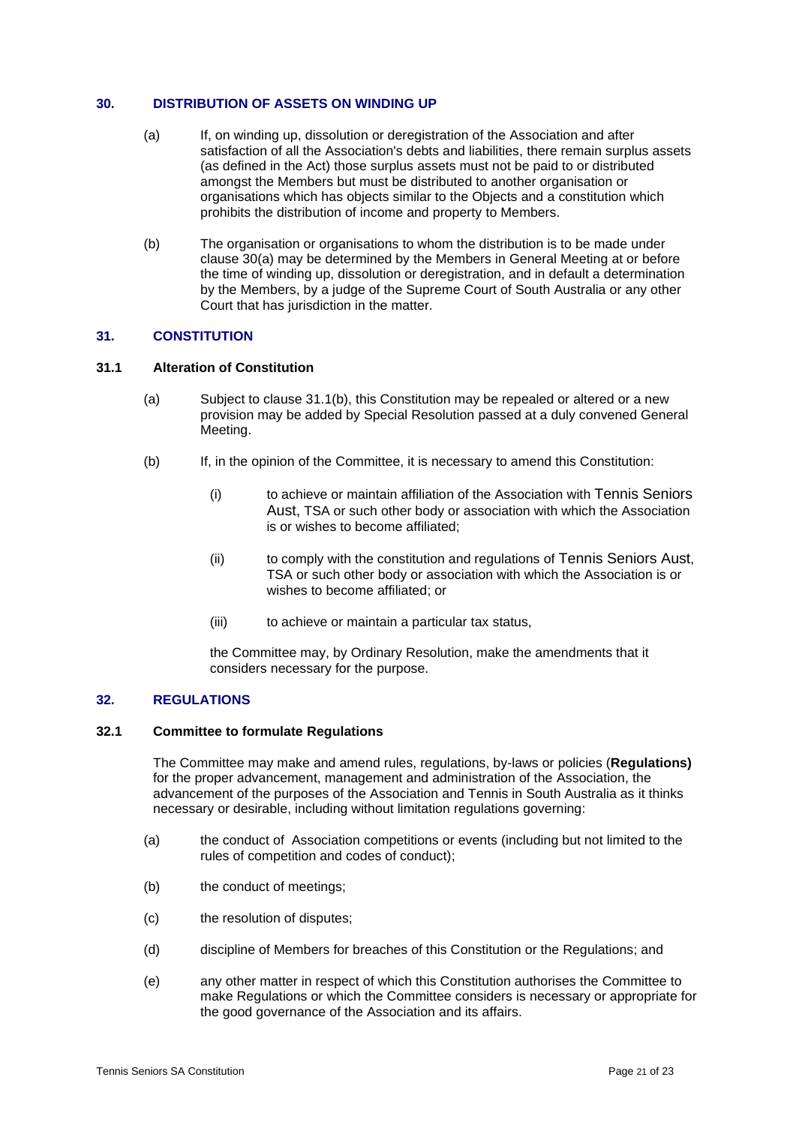#### <span id="page-20-3"></span><span id="page-20-0"></span>**30. DISTRIBUTION OF ASSETS ON WINDING UP**

- (a) If, on winding up, dissolution or deregistration of the Association and after satisfaction of all the Association's debts and liabilities, there remain surplus assets (as defined in the Act) those surplus assets must not be paid to or distributed amongst the Members but must be distributed to another organisation or organisations which has objects similar to the Objects and a constitution which prohibits the distribution of income and property to Members.
- (b) The organisation or organisations to whom the distribution is to be made under clause [30\(a\)](#page-20-3) may be determined by the Members in General Meeting at or before the time of winding up, dissolution or deregistration, and in default a determination by the Members, by a judge of the Supreme Court of South Australia or any other Court that has jurisdiction in the matter.

## <span id="page-20-1"></span>**31. CONSTITUTION**

#### **31.1 Alteration of Constitution**

- (a) Subject to clause [31.1\(b\),](#page-20-4) this Constitution may be repealed or altered or a new provision may be added by Special Resolution passed at a duly convened General Meeting.
- <span id="page-20-4"></span>(b) If, in the opinion of the Committee, it is necessary to amend this Constitution:
	- (i) to achieve or maintain affiliation of the Association with Tennis Seniors Aust, TSA or such other body or association with which the Association is or wishes to become affiliated;
	- (ii) to comply with the constitution and regulations of Tennis Seniors Aust, TSA or such other body or association with which the Association is or wishes to become affiliated; or
	- (iii) to achieve or maintain a particular tax status,

the Committee may, by Ordinary Resolution, make the amendments that it considers necessary for the purpose.

## <span id="page-20-2"></span>**32. REGULATIONS**

## **32.1 Committee to formulate Regulations**

The Committee may make and amend rules, regulations, by-laws or policies (**Regulations)**  for the proper advancement, management and administration of the Association, the advancement of the purposes of the Association and Tennis in South Australia as it thinks necessary or desirable, including without limitation regulations governing:

- (a) the conduct of Association competitions or events (including but not limited to the rules of competition and codes of conduct);
- (b) the conduct of meetings;
- (c) the resolution of disputes;
- (d) discipline of Members for breaches of this Constitution or the Regulations; and
- (e) any other matter in respect of which this Constitution authorises the Committee to make Regulations or which the Committee considers is necessary or appropriate for the good governance of the Association and its affairs.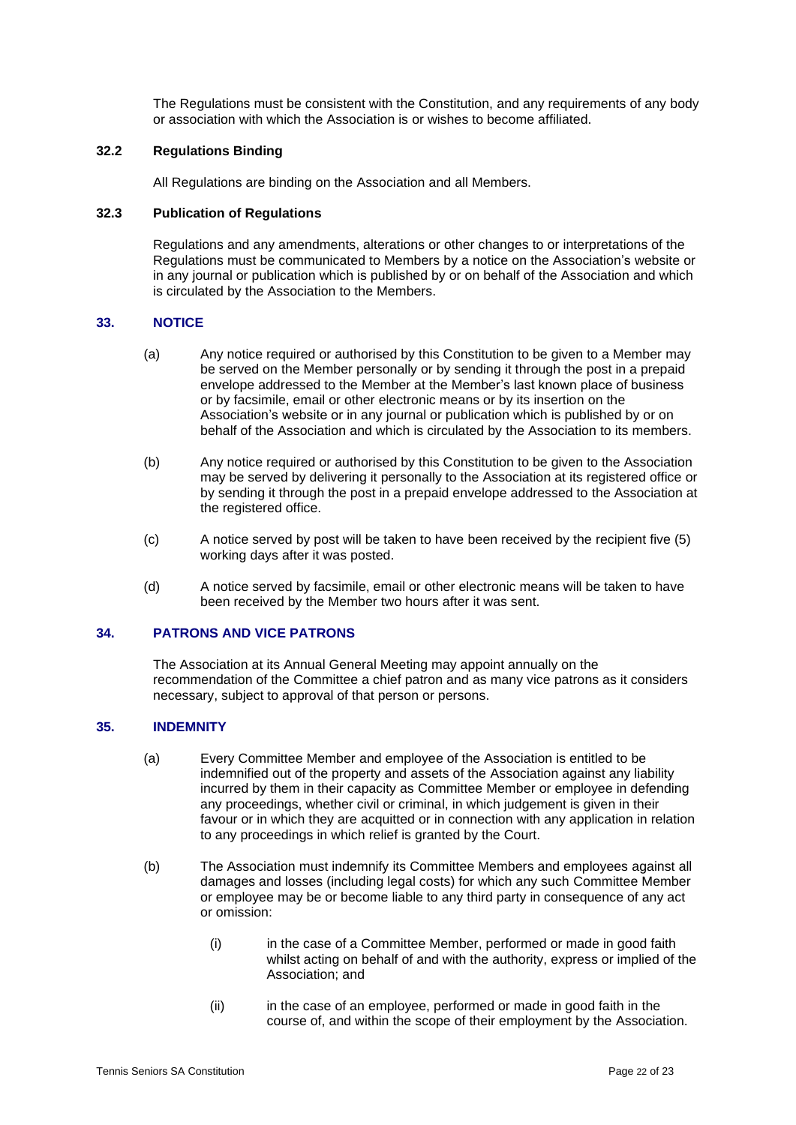The Regulations must be consistent with the Constitution, and any requirements of any body or association with which the Association is or wishes to become affiliated.

## **32.2 Regulations Binding**

All Regulations are binding on the Association and all Members.

## **32.3 Publication of Regulations**

Regulations and any amendments, alterations or other changes to or interpretations of the Regulations must be communicated to Members by a notice on the Association's website or in any journal or publication which is published by or on behalf of the Association and which is circulated by the Association to the Members.

## <span id="page-21-0"></span>**33. NOTICE**

- (a) Any notice required or authorised by this Constitution to be given to a Member may be served on the Member personally or by sending it through the post in a prepaid envelope addressed to the Member at the Member's last known place of business or by facsimile, email or other electronic means or by its insertion on the Association's website or in any journal or publication which is published by or on behalf of the Association and which is circulated by the Association to its members.
- (b) Any notice required or authorised by this Constitution to be given to the Association may be served by delivering it personally to the Association at its registered office or by sending it through the post in a prepaid envelope addressed to the Association at the registered office.
- (c) A notice served by post will be taken to have been received by the recipient five (5) working days after it was posted.
- (d) A notice served by facsimile, email or other electronic means will be taken to have been received by the Member two hours after it was sent.

#### <span id="page-21-1"></span>**34. PATRONS AND VICE PATRONS**

The Association at its Annual General Meeting may appoint annually on the recommendation of the Committee a chief patron and as many vice patrons as it considers necessary, subject to approval of that person or persons.

#### <span id="page-21-2"></span>**35. INDEMNITY**

- (a) Every Committee Member and employee of the Association is entitled to be indemnified out of the property and assets of the Association against any liability incurred by them in their capacity as Committee Member or employee in defending any proceedings, whether civil or criminal, in which judgement is given in their favour or in which they are acquitted or in connection with any application in relation to any proceedings in which relief is granted by the Court.
- (b) The Association must indemnify its Committee Members and employees against all damages and losses (including legal costs) for which any such Committee Member or employee may be or become liable to any third party in consequence of any act or omission:
	- (i) in the case of a Committee Member, performed or made in good faith whilst acting on behalf of and with the authority, express or implied of the Association; and
	- (ii) in the case of an employee, performed or made in good faith in the course of, and within the scope of their employment by the Association.